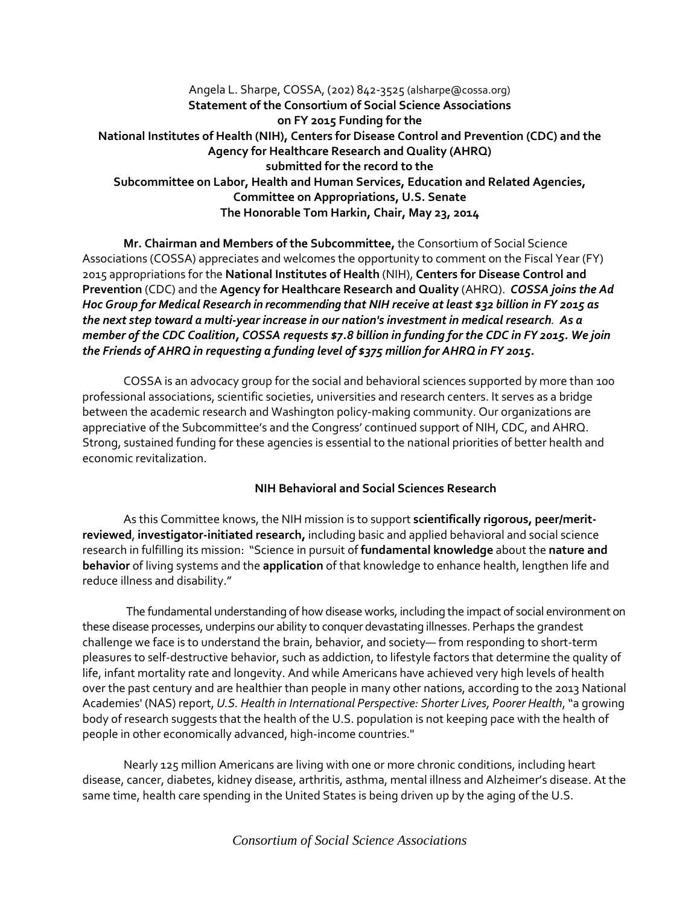Angela L. Sharpe, COSSA, (202) 842-3525 (alsharpe@cossa.org) **Statement of the Consortium of Social Science Associations on FY 2015 Funding for the National Institutes of Health (NIH), Centers for Disease Control and Prevention (CDC) and the Agency for Healthcare Research and Quality (AHRQ) submitted for the record to the Subcommittee on Labor, Health and Human Services, Education and Related Agencies, Committee on Appropriations, U.S. Senate The Honorable Tom Harkin, Chair, May 23, 2014**

**Mr. Chairman and Members of the Subcommittee,** the Consortium of Social Science Associations (COSSA) appreciates and welcomes the opportunity to comment on the Fiscal Year (FY) 2015 appropriations for the **National Institutes of Health** (NIH), **Centers for Disease Control and Prevention** (CDC) and the **Agency for Healthcare Research and Quality** (AHRQ). *COSSA joins the Ad Hoc Group for Medical Research in recommending that NIH receive at least \$32 billion in FY 2015 as the next step toward a multi-year increase in our nation's investment in medical research. As a member of the CDC Coalition, COSSA requests \$7.8 billion in funding for the CDC in FY 2015. We join the Friends of AHRQ in requesting a funding level of \$375 million for AHRQ in FY 2015.*

COSSA is an advocacy group for the social and behavioral sciences supported by more than 100 professional associations, scientific societies, universities and research centers. It serves as a bridge between the academic research and Washington policy-making community. Our organizations are appreciative of the Subcommittee's and the Congress' continued support of NIH, CDC, and AHRQ. Strong, sustained funding for these agencies is essential to the national priorities of better health and economic revitalization.

## **NIH Behavioral and Social Sciences Research**

As this Committee knows, the NIH mission is to support **scientifically rigorous, peer/meritreviewed**, **investigator-initiated research,** including basic and applied behavioral and social science research in fulfilling its mission: "Science in pursuit of **fundamental knowledge** about the **nature and behavior** of living systems and the **application** of that knowledge to enhance health, lengthen life and reduce illness and disability."

The fundamental understanding of how disease works, including the impact of social environment on these disease processes, underpins our ability to conquer devastating illnesses. Perhaps the grandest challenge we face is to understand the brain, behavior, and society— from responding to short-term pleasures to self-destructive behavior, such as addiction, to lifestyle factors that determine the quality of life, infant mortality rate and longevity. And while Americans have achieved very high levels of health over the past century and are healthier than people in many other nations, according to the 2013 National Academies' (NAS) report, *U.S. Health in International Perspective: Shorter Lives, Poorer Health*, "a growing body of research suggests that the health of the U.S. population is not keeping pace with the health of people in other economically advanced, high-income countries."

Nearly 125 million Americans are living with one or more chronic conditions, including heart disease, cancer, diabetes, kidney disease, arthritis, asthma, mental illness and Alzheimer's disease. At the same time, health care spending in the United States is being driven up by the aging of the U.S.

*Consortium of Social Science Associations*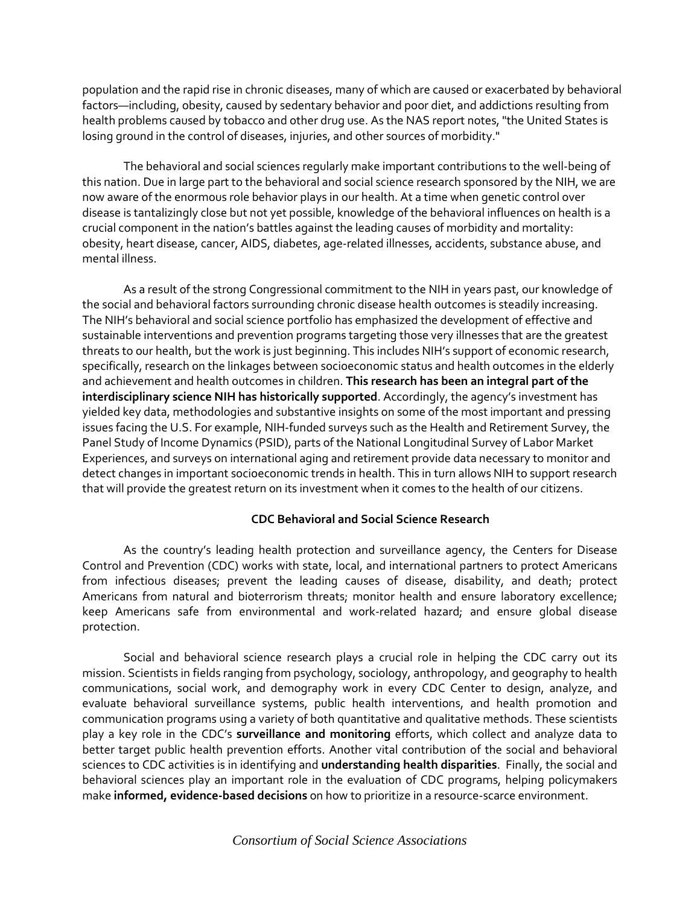population and the rapid rise in chronic diseases, many of which are caused or exacerbated by behavioral factors—including, obesity, caused by sedentary behavior and poor diet, and addictions resulting from health problems caused by tobacco and other drug use. As the NAS report notes, "the United States is losing ground in the control of diseases, injuries, and other sources of morbidity."

The behavioral and social sciences regularly make important contributions to the well-being of this nation. Due in large part to the behavioral and social science research sponsored by the NIH, we are now aware of the enormous role behavior plays in our health. At a time when genetic control over disease is tantalizingly close but not yet possible, knowledge of the behavioral influences on health is a crucial component in the nation's battles against the leading causes of morbidity and mortality: obesity, heart disease, cancer, AIDS, diabetes, age-related illnesses, accidents, substance abuse, and mental illness.

As a result of the strong Congressional commitment to the NIH in years past, our knowledge of the social and behavioral factors surrounding chronic disease health outcomes is steadily increasing. The NIH's behavioral and social science portfolio has emphasized the development of effective and sustainable interventions and prevention programs targeting those very illnesses that are the greatest threats to our health, but the work is just beginning. This includes NIH's support of economic research, specifically, research on the linkages between socioeconomic status and health outcomes in the elderly and achievement and health outcomes in children. **This research has been an integral part of the interdisciplinary science NIH has historically supported**. Accordingly, the agency's investment has yielded key data, methodologies and substantive insights on some of the most important and pressing issues facing the U.S. For example, NIH-funded surveys such as the Health and Retirement Survey, the Panel Study of Income Dynamics (PSID), parts of the National Longitudinal Survey of Labor Market Experiences, and surveys on international aging and retirement provide data necessary to monitor and detect changes in important socioeconomic trends in health. This in turn allows NIH to support research that will provide the greatest return on its investment when it comes to the health of our citizens.

## **CDC Behavioral and Social Science Research**

As the country's leading health protection and surveillance agency, the Centers for Disease Control and Prevention (CDC) works with state, local, and international partners to protect Americans from infectious diseases; prevent the leading causes of disease, disability, and death; protect Americans from natural and bioterrorism threats; monitor health and ensure laboratory excellence; keep Americans safe from environmental and work-related hazard; and ensure global disease protection.

Social and behavioral science research plays a crucial role in helping the CDC carry out its mission. Scientists in fields ranging from psychology, sociology, anthropology, and geography to health communications, social work, and demography work in every CDC Center to design, analyze, and evaluate behavioral surveillance systems, public health interventions, and health promotion and communication programs using a variety of both quantitative and qualitative methods. These scientists play a key role in the CDC's **surveillance and monitoring** efforts, which collect and analyze data to better target public health prevention efforts. Another vital contribution of the social and behavioral sciences to CDC activities is in identifying and **understanding health disparities**. Finally, the social and behavioral sciences play an important role in the evaluation of CDC programs, helping policymakers make **informed, evidence-based decisions** on how to prioritize in a resource-scarce environment.

## *Consortium of Social Science Associations*